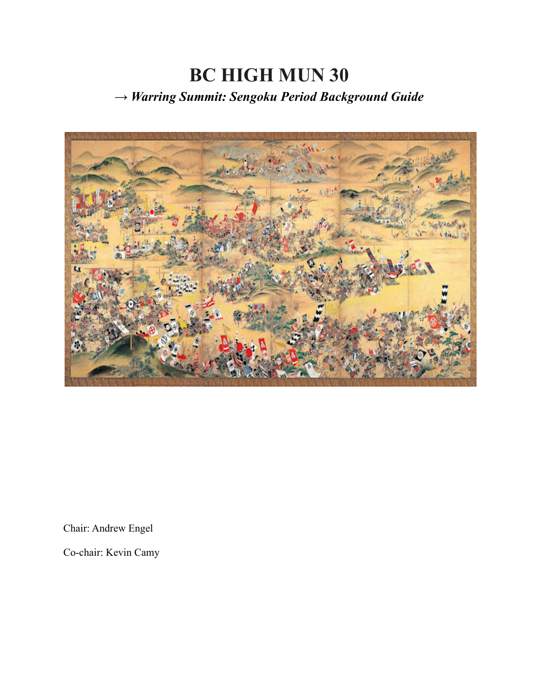# **BC HIGH MUN 30** *→ Warring Summit: Sengoku Period Background Guide*



Chair: Andrew Engel

Co-chair: Kevin Camy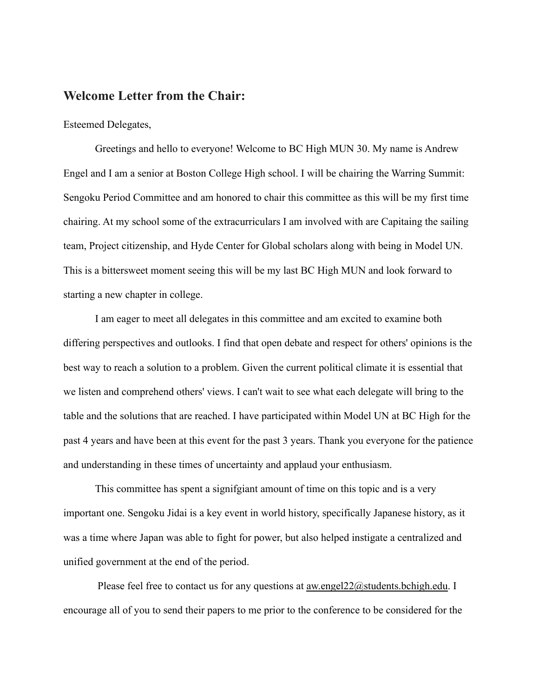### **Welcome Letter from the Chair:**

### Esteemed Delegates,

Greetings and hello to everyone! Welcome to BC High MUN 30. My name is Andrew Engel and I am a senior at Boston College High school. I will be chairing the Warring Summit: Sengoku Period Committee and am honored to chair this committee as this will be my first time chairing. At my school some of the extracurriculars I am involved with are Capitaing the sailing team, Project citizenship, and Hyde Center for Global scholars along with being in Model UN. This is a bittersweet moment seeing this will be my last BC High MUN and look forward to starting a new chapter in college.

I am eager to meet all delegates in this committee and am excited to examine both differing perspectives and outlooks. I find that open debate and respect for others' opinions is the best way to reach a solution to a problem. Given the current political climate it is essential that we listen and comprehend others' views. I can't wait to see what each delegate will bring to the table and the solutions that are reached. I have participated within Model UN at BC High for the past 4 years and have been at this event for the past 3 years. Thank you everyone for the patience and understanding in these times of uncertainty and applaud your enthusiasm.

This committee has spent a signifgiant amount of time on this topic and is a very important one. Sengoku Jidai is a key event in world history, specifically Japanese history, as it was a time where Japan was able to fight for power, but also helped instigate a centralized and unified government at the end of the period.

Please feel free to contact us for any questions at <u>aw.engel22@students.bchigh.edu</u>. I encourage all of you to send their papers to me prior to the conference to be considered for the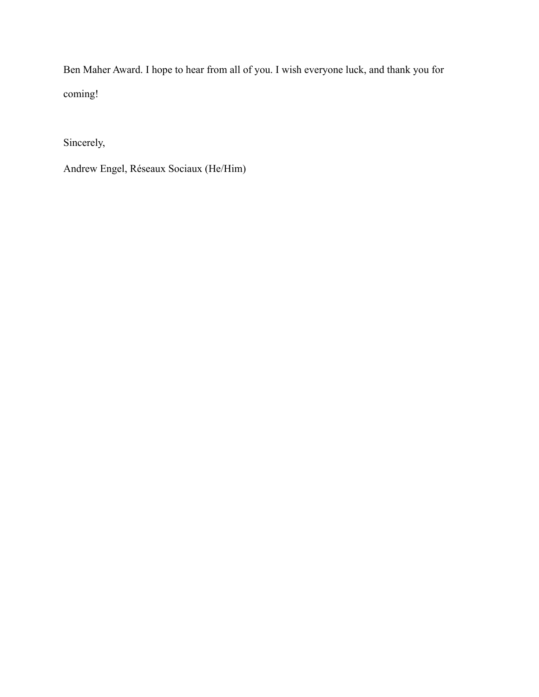Ben Maher Award. I hope to hear from all of you. I wish everyone luck, and thank you for coming!

Sincerely,

Andrew Engel, Réseaux Sociaux (He/Him)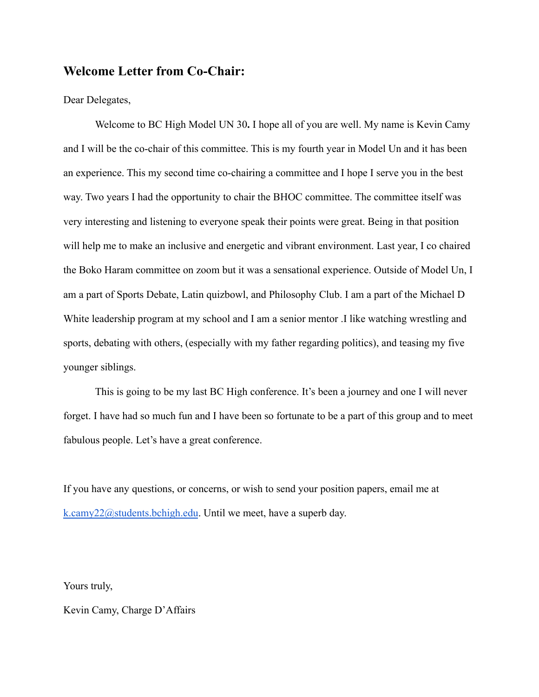## **Welcome Letter from Co-Chair:**

Dear Delegates,

Welcome to BC High Model UN 30**.** I hope all of you are well. My name is Kevin Camy and I will be the co-chair of this committee. This is my fourth year in Model Un and it has been an experience. This my second time co-chairing a committee and I hope I serve you in the best way. Two years I had the opportunity to chair the BHOC committee. The committee itself was very interesting and listening to everyone speak their points were great. Being in that position will help me to make an inclusive and energetic and vibrant environment. Last year, I co chaired the Boko Haram committee on zoom but it was a sensational experience. Outside of Model Un, I am a part of Sports Debate, Latin quizbowl, and Philosophy Club. I am a part of the Michael D White leadership program at my school and I am a senior mentor .I like watching wrestling and sports, debating with others, (especially with my father regarding politics), and teasing my five younger siblings.

This is going to be my last BC High conference. It's been a journey and one I will never forget. I have had so much fun and I have been so fortunate to be a part of this group and to meet fabulous people. Let's have a great conference.

If you have any questions, or concerns, or wish to send your position papers, email me at [k.camy22@students.bchigh.edu](mailto:k.camy22@students.bchigh.edu). Until we meet, have a superb day.

Yours truly,

Kevin Camy, Charge D'Affairs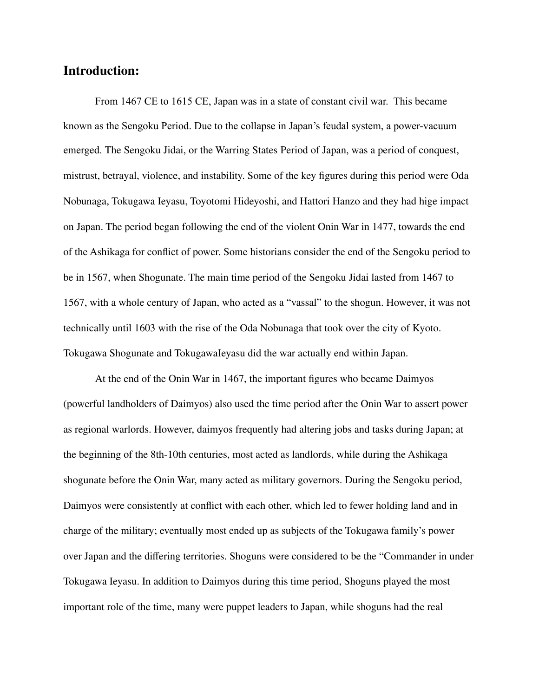# **Introduction:**

From 1467 CE to 1615 CE, Japan was in a state of constant civil war. This became known as the Sengoku Period. Due to the collapse in Japan's feudal system, a power-vacuum emerged. The Sengoku Jidai, or the Warring States Period of Japan, was a period of conquest, mistrust, betrayal, violence, and instability. Some of the key figures during this period were Oda Nobunaga, Tokugawa Ieyasu, Toyotomi Hideyoshi, and Hattori Hanzo and they had hige impact on Japan. The period began following the end of the violent Onin War in 1477, towards the end of the Ashikaga for conflict of power. Some historians consider the end of the Sengoku period to be in 1567, when Shogunate. The main time period of the Sengoku Jidai lasted from 1467 to 1567, with a whole century of Japan, who acted as a "vassal" to the shogun. However, it was not technically until 1603 with the rise of the Oda Nobunaga that took over the city of Kyoto. Tokugawa Shogunate and TokugawaIeyasu did the war actually end within Japan.

At the end of the Onin War in 1467, the important figures who became Daimyos (powerful landholders of Daimyos) also used the time period after the Onin War to assert power as regional warlords. However, daimyos frequently had altering jobs and tasks during Japan; at the beginning of the 8th-10th centuries, most acted as landlords, while during the Ashikaga shogunate before the Onin War, many acted as military governors. During the Sengoku period, Daimyos were consistently at conflict with each other, which led to fewer holding land and in charge of the military; eventually most ended up as subjects of the Tokugawa family's power over Japan and the differing territories. Shoguns were considered to be the "Commander in under Tokugawa Ieyasu. In addition to Daimyos during this time period, Shoguns played the most important role of the time, many were puppet leaders to Japan, while shoguns had the real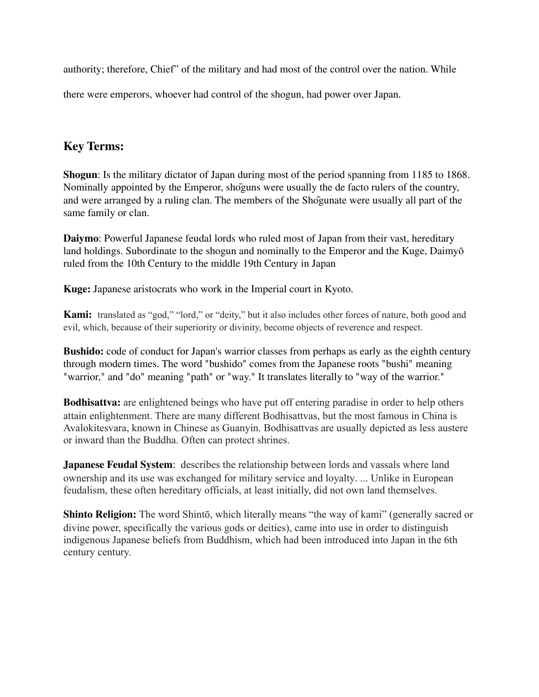authority; therefore, Chief" of the military and had most of the control over the nation. While

there were emperors, whoever had control of the shogun, had power over Japan.

# **Key Terms:**

**Shogun**: Is the military dictator of Japan during most of the period spanning from 1185 to 1868. Nominally appointed by the Emperor, shōguns were usually the de facto rulers of the country, and were arranged by a ruling clan. The members of the Shōgunate were usually all part of the same family or clan.

**Daiymo**: Powerful Japanese feudal lords who ruled most of Japan from their vast, hereditary land holdings. Subordinate to the shogun and nominally to the Emperor and the Kuge, Daimyō ruled from the 10th Century to the middle 19th Century in Japan

**Kuge:** Japanese aristocrats who work in the Imperial court in Kyoto.

**Kami:** translated as "god," "lord," or "deity," but it also includes other forces of nature, both good and evil, which, because of their superiority or divinity, become objects of reverence and respect.

**Bushido:** code of conduct for Japan's warrior classes from perhaps as early as the eighth century through modern times. The word "bushido" comes from the Japanese roots "bushi" meaning "warrior," and "do" meaning "path" or "way." It translates literally to "way of the warrior."

**Bodhisattva:** are enlightened beings who have put off entering paradise in order to help others attain enlightenment. There are many different Bodhisattvas, but the most famous in China is Avalokitesvara, known in Chinese as Guanyin. Bodhisattvas are usually depicted as less austere or inward than the Buddha. Often can protect shrines.

**Japanese Feudal System**: describes the relationship between lords and vassals where land ownership and its use was exchanged for military service and loyalty. ... Unlike in European feudalism, these often hereditary officials, at least initially, did not own land themselves.

**Shinto Religion:** The word Shintō, which literally means "the way of kami" (generally sacred or divine power, specifically the various gods or deities), came into use in order to distinguish indigenous Japanese beliefs from Buddhism, which had been introduced into Japan in the 6th century century.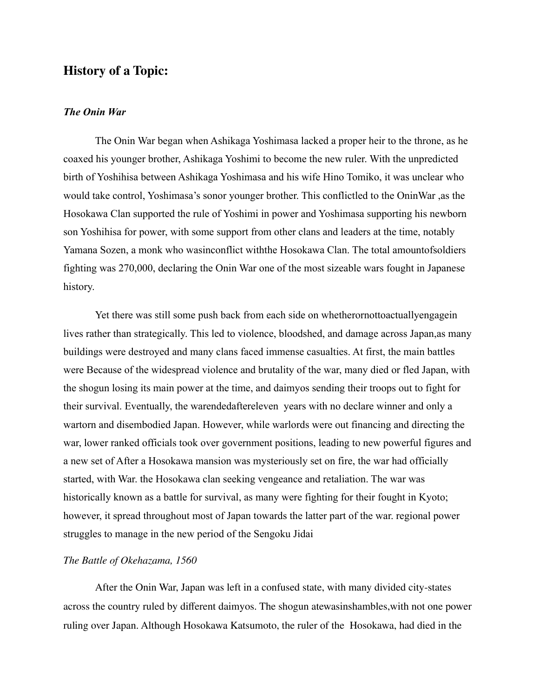# **History of a Topic:**

### *The Onin War*

The Onin War began when Ashikaga Yoshimasa lacked a proper heir to the throne, as he coaxed his younger brother, Ashikaga Yoshimi to become the new ruler. With the unpredicted birth of Yoshihisa between Ashikaga Yoshimasa and his wife Hino Tomiko, it was unclear who would take control, Yoshimasa's sonor younger brother. This conflictled to the OninWar ,as the Hosokawa Clan supported the rule of Yoshimi in power and Yoshimasa supporting his newborn son Yoshihisa for power, with some support from other clans and leaders at the time, notably Yamana Sozen, a monk who wasinconflict withthe Hosokawa Clan. The total amountofsoldiers fighting was 270,000, declaring the Onin War one of the most sizeable wars fought in Japanese history.

Yet there was still some push back from each side on whetherornottoactuallyengagein lives rather than strategically. This led to violence, bloodshed, and damage across Japan,as many buildings were destroyed and many clans faced immense casualties. At first, the main battles were Because of the widespread violence and brutality of the war, many died or fled Japan, with the shogun losing its main power at the time, and daimyos sending their troops out to fight for their survival. Eventually, the warendedaftereleven years with no declare winner and only a wartorn and disembodied Japan. However, while warlords were out financing and directing the war, lower ranked officials took over government positions, leading to new powerful figures and a new set of After a Hosokawa mansion was mysteriously set on fire, the war had officially started, with War. the Hosokawa clan seeking vengeance and retaliation. The war was historically known as a battle for survival, as many were fighting for their fought in Kyoto; however, it spread throughout most of Japan towards the latter part of the war. regional power struggles to manage in the new period of the Sengoku Jidai

#### *The Battle of Okehazama, 1560*

After the Onin War, Japan was left in a confused state, with many divided city-states across the country ruled by different daimyos. The shogun atewasinshambles,with not one power ruling over Japan. Although Hosokawa Katsumoto, the ruler of the Hosokawa, had died in the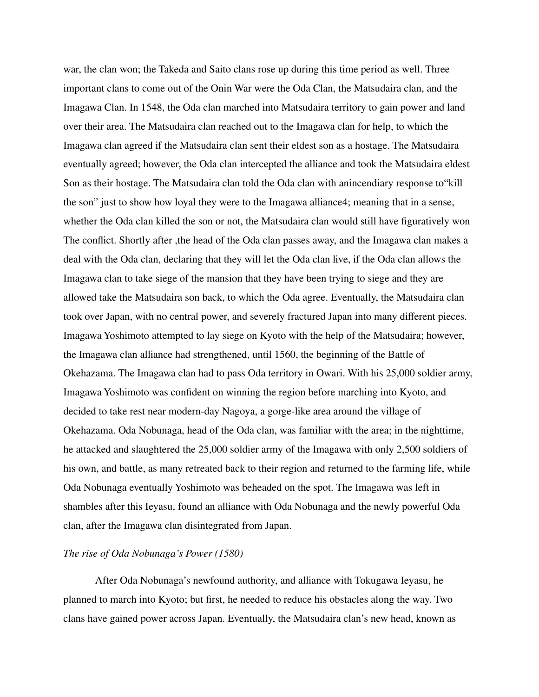war, the clan won; the Takeda and Saito clans rose up during this time period as well. Three important clans to come out of the Onin War were the Oda Clan, the Matsudaira clan, and the Imagawa Clan. In 1548, the Oda clan marched into Matsudaira territory to gain power and land over their area. The Matsudaira clan reached out to the Imagawa clan for help, to which the Imagawa clan agreed if the Matsudaira clan sent their eldest son as a hostage. The Matsudaira eventually agreed; however, the Oda clan intercepted the alliance and took the Matsudaira eldest Son as their hostage. The Matsudaira clan told the Oda clan with anincendiary response to"kill the son" just to show how loyal they were to the Imagawa alliance4; meaning that in a sense, whether the Oda clan killed the son or not, the Matsudaira clan would still have figuratively won The conflict. Shortly after ,the head of the Oda clan passes away, and the Imagawa clan makes a deal with the Oda clan, declaring that they will let the Oda clan live, if the Oda clan allows the Imagawa clan to take siege of the mansion that they have been trying to siege and they are allowed take the Matsudaira son back, to which the Oda agree. Eventually, the Matsudaira clan took over Japan, with no central power, and severely fractured Japan into many different pieces. Imagawa Yoshimoto attempted to lay siege on Kyoto with the help of the Matsudaira; however, the Imagawa clan alliance had strengthened, until 1560, the beginning of the Battle of Okehazama. The Imagawa clan had to pass Oda territory in Owari. With his 25,000 soldier army, Imagawa Yoshimoto was confident on winning the region before marching into Kyoto, and decided to take rest near modern-day Nagoya, a gorge-like area around the village of Okehazama. Oda Nobunaga, head of the Oda clan, was familiar with the area; in the nighttime, he attacked and slaughtered the 25,000 soldier army of the Imagawa with only 2,500 soldiers of his own, and battle, as many retreated back to their region and returned to the farming life, while Oda Nobunaga eventually Yoshimoto was beheaded on the spot. The Imagawa was left in shambles after this Ieyasu, found an alliance with Oda Nobunaga and the newly powerful Oda clan, after the Imagawa clan disintegrated from Japan.

### *The rise of Oda Nobunaga's Power (1580)*

After Oda Nobunaga's newfound authority, and alliance with Tokugawa Ieyasu, he planned to march into Kyoto; but first, he needed to reduce his obstacles along the way. Two clans have gained power across Japan. Eventually, the Matsudaira clan's new head, known as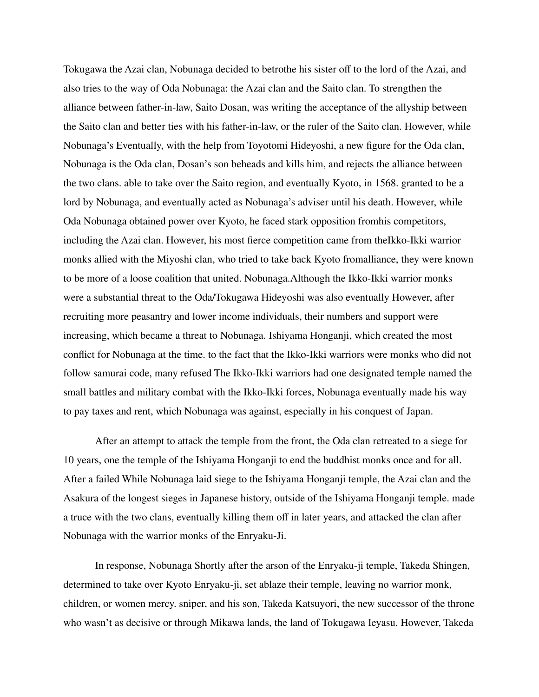Tokugawa the Azai clan, Nobunaga decided to betrothe his sister off to the lord of the Azai, and also tries to the way of Oda Nobunaga: the Azai clan and the Saito clan. To strengthen the alliance between father-in-law, Saito Dosan, was writing the acceptance of the allyship between the Saito clan and better ties with his father-in-law, or the ruler of the Saito clan. However, while Nobunaga's Eventually, with the help from Toyotomi Hideyoshi, a new figure for the Oda clan, Nobunaga is the Oda clan, Dosan's son beheads and kills him, and rejects the alliance between the two clans. able to take over the Saito region, and eventually Kyoto, in 1568. granted to be a lord by Nobunaga, and eventually acted as Nobunaga's adviser until his death. However, while Oda Nobunaga obtained power over Kyoto, he faced stark opposition fromhis competitors, including the Azai clan. However, his most fierce competition came from theIkko-Ikki warrior monks allied with the Miyoshi clan, who tried to take back Kyoto fromalliance, they were known to be more of a loose coalition that united. Nobunaga.Although the Ikko-Ikki warrior monks were a substantial threat to the Oda/Tokugawa Hideyoshi was also eventually However, after recruiting more peasantry and lower income individuals, their numbers and support were increasing, which became a threat to Nobunaga. Ishiyama Honganji, which created the most conflict for Nobunaga at the time. to the fact that the Ikko-Ikki warriors were monks who did not follow samurai code, many refused The Ikko-Ikki warriors had one designated temple named the small battles and military combat with the Ikko-Ikki forces, Nobunaga eventually made his way to pay taxes and rent, which Nobunaga was against, especially in his conquest of Japan.

After an attempt to attack the temple from the front, the Oda clan retreated to a siege for 10 years, one the temple of the Ishiyama Honganji to end the buddhist monks once and for all. After a failed While Nobunaga laid siege to the Ishiyama Honganji temple, the Azai clan and the Asakura of the longest sieges in Japanese history, outside of the Ishiyama Honganji temple. made a truce with the two clans, eventually killing them off in later years, and attacked the clan after Nobunaga with the warrior monks of the Enryaku-Ji.

In response, Nobunaga Shortly after the arson of the Enryaku-ji temple, Takeda Shingen, determined to take over Kyoto Enryaku-ji, set ablaze their temple, leaving no warrior monk, children, or women mercy. sniper, and his son, Takeda Katsuyori, the new successor of the throne who wasn't as decisive or through Mikawa lands, the land of Tokugawa Ieyasu. However, Takeda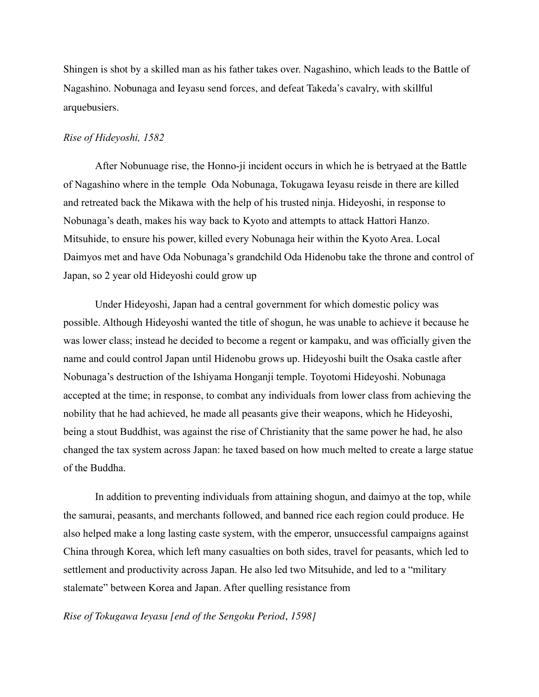Shingen is shot by a skilled man as his father takes over. Nagashino, which leads to the Battle of Nagashino. Nobunaga and Ieyasu send forces, and defeat Takeda's cavalry, with skillful arquebusiers.

### *Rise of Hideyoshi, 1582*

After Nobunuage rise, the Honno-ji incident occurs in which he is betryaed at the Battle of Nagashino where in the temple Oda Nobunaga, Tokugawa Ieyasu reisde in there are killed and retreated back the Mikawa with the help of his trusted ninja. Hideyoshi, in response to Nobunaga's death, makes his way back to Kyoto and attempts to attack Hattori Hanzo. Mitsuhide, to ensure his power, killed every Nobunaga heir within the Kyoto Area. Local Daimyos met and have Oda Nobunaga's grandchild Oda Hidenobu take the throne and control of Japan, so 2 year old Hideyoshi could grow up

Under Hideyoshi, Japan had a central government for which domestic policy was possible. Although Hideyoshi wanted the title of shogun, he was unable to achieve it because he was lower class; instead he decided to become a regent or kampaku, and was officially given the name and could control Japan until Hidenobu grows up. Hideyoshi built the Osaka castle after Nobunaga's destruction of the Ishiyama Honganji temple. Toyotomi Hideyoshi. Nobunaga accepted at the time; in response, to combat any individuals from lower class from achieving the nobility that he had achieved, he made all peasants give their weapons, which he Hideyoshi, being a stout Buddhist, was against the rise of Christianity that the same power he had, he also changed the tax system across Japan: he taxed based on how much melted to create a large statue of the Buddha.

In addition to preventing individuals from attaining shogun, and daimyo at the top, while the samurai, peasants, and merchants followed, and banned rice each region could produce. He also helped make a long lasting caste system, with the emperor, unsuccessful campaigns against China through Korea, which left many casualties on both sides, travel for peasants, which led to settlement and productivity across Japan. He also led two Mitsuhide, and led to a "military stalemate" between Korea and Japan. After quelling resistance from

### *Rise of Tokugawa Ieyasu [end of the Sengoku Period*, *1598]*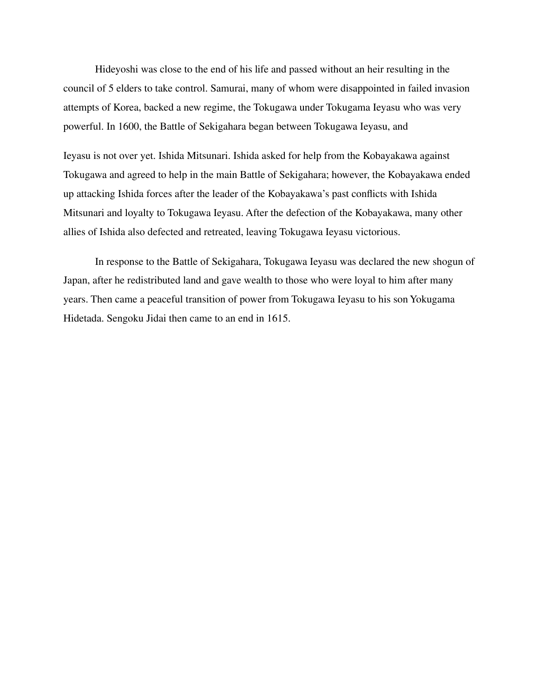Hideyoshi was close to the end of his life and passed without an heir resulting in the council of 5 elders to take control. Samurai, many of whom were disappointed in failed invasion attempts of Korea, backed a new regime, the Tokugawa under Tokugama Ieyasu who was very powerful. In 1600, the Battle of Sekigahara began between Tokugawa Ieyasu, and

Ieyasu is not over yet. Ishida Mitsunari. Ishida asked for help from the Kobayakawa against Tokugawa and agreed to help in the main Battle of Sekigahara; however, the Kobayakawa ended up attacking Ishida forces after the leader of the Kobayakawa's past conflicts with Ishida Mitsunari and loyalty to Tokugawa Ieyasu. After the defection of the Kobayakawa, many other allies of Ishida also defected and retreated, leaving Tokugawa Ieyasu victorious.

In response to the Battle of Sekigahara, Tokugawa Ieyasu was declared the new shogun of Japan, after he redistributed land and gave wealth to those who were loyal to him after many years. Then came a peaceful transition of power from Tokugawa Ieyasu to his son Yokugama Hidetada. Sengoku Jidai then came to an end in 1615.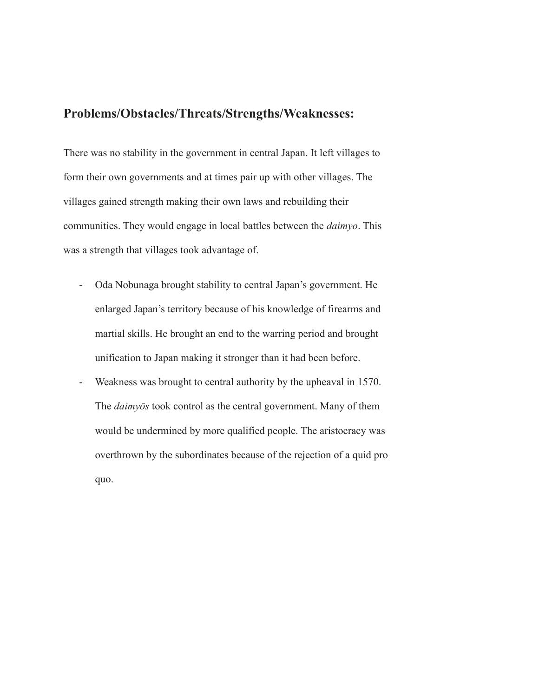# **Problems/Obstacles/Threats/Strengths/Weaknesses:**

There was no stability in the government in central Japan. It left villages to form their own governments and at times pair up with other villages. The villages gained strength making their own laws and rebuilding their communities. They would engage in local battles between the *daimyo*. This was a strength that villages took advantage of.

- Oda Nobunaga brought stability to central Japan's government. He enlarged Japan's territory because of his knowledge of firearms and martial skills. He brought an end to the warring period and brought unification to Japan making it stronger than it had been before.
- Weakness was brought to central authority by the upheaval in 1570. The *daimyōs* took control as the central government. Many of them would be undermined by more qualified people. The aristocracy was overthrown by the subordinates because of the rejection of a quid pro quo.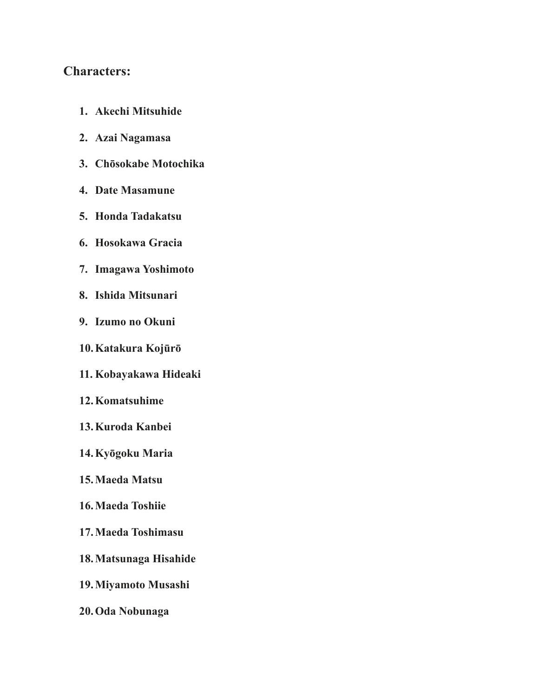# **Characters:**

| 1.<br><b>Akechi Mitsuhide</b> |  |
|-------------------------------|--|
|-------------------------------|--|

- **2. Azai Nagamasa**
- **3. Chōsokabe Motochika**
- **4. Date Masamune**
- **5. Honda Tadakatsu**
- **6. Hosokawa Gracia**
- **7. Imagawa Yoshimoto**
- **8. Ishida Mitsunari**
- **9. Izumo no Okuni**
- **10.Katakura Kojūrō**
- **11. Kobayakawa Hideaki**
- **12.Komatsuhime**
- **13.Kuroda Kanbei**
- **14.Kyōgoku Maria**
- **15.Maeda Matsu**
- **16.Maeda Toshiie**
- **17.Maeda Toshimasu**
- **18.Matsunaga Hisahide**
- **19.Miyamoto Musashi**
- **20.Oda Nobunaga**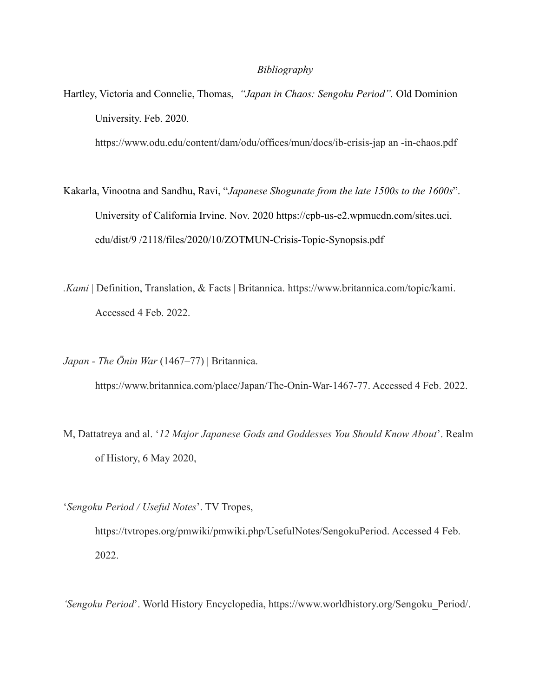### *Bibliography*

Hartley, Victoria and Connelie, Thomas, *"Japan in Chaos: Sengoku Period".* Old Dominion University. Feb. 2020*.*

[https://www.odu.edu/content/dam/odu/offices/mun/docs/ib-crisis-ja](https://www.odu.edu/content/dam/odu/offices/mun/docs/ib-crisis-j)p an -in-chaos.pdf

- Kakarla, Vinootna and Sandhu, Ravi, "*Japanese Shogunate from the late 1500s to the 1600s*". University of California Irvine. Nov. 2020 [https://cpb-us-e2.wpmucdn.com/sites.uci.](https://cpb-us-e2.wpmucdn.com/sites.uci) edu/dist/9 /2118/files/2020/10/ZOTMUN-Crisis-Topic-Synopsis.pdf
- *.Kami* | Definition, Translation, & Facts | Britannica. https://www.britannica.com/topic/kami. Accessed 4 Feb. 2022.
- *Japan The Ōnin War* (1467–77) | Britannica. https://www.britannica.com/place/Japan/The-Onin-War-1467-77. Accessed 4 Feb. 2022.
- M, Dattatreya and al. '*12 Major Japanese Gods and Goddesses You Should Know About*'. Realm of History, 6 May 2020,
- '*Sengoku Period / Useful Notes*'. TV Tropes,

https://tvtropes.org/pmwiki/pmwiki.php/UsefulNotes/SengokuPeriod. Accessed 4 Feb. 2022.

*'Sengoku Period*'. World History Encyclopedia, https://www.worldhistory.org/Sengoku\_Period/.